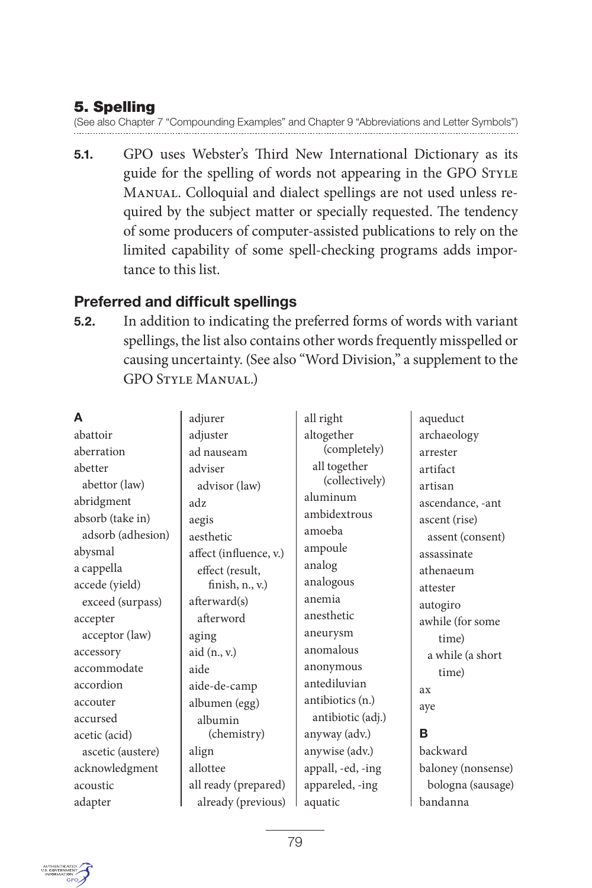# **5. Spelling**

(See also Chapter 7 "Compounding Examples" and Chapter 9 "Abbreviations and Letter Symbols")

**5.1.** GPO uses Webster's Third New International Dictionary as its guide for the spelling of words not appearing in the GPO STYLE Manual. Colloquial and dialect spellings are not used unless required by the subject matter or specially requested. The tendency of some producers of computer-assisted publications to rely on the limited capability of some spell-checking programs adds importance to this list.

# **Preferred and difficult spellings**

**5.2.** In addition to indicating the preferred forms of words with variant spellings, the list also contains other words frequently misspelled or causing uncertainty. (See also "Word Division," a supplement to the GPO Style Manual.)

| A                 | adjurer                | all right         | aqueduct           |
|-------------------|------------------------|-------------------|--------------------|
| abattoir          | adjuster               | altogether        | archaeology        |
| aberration        | ad nauseam             | (completely)      | arrester           |
| abetter           | adviser                | all together      | artifact           |
| abettor (law)     | advisor (law)          | (collectively)    | artisan            |
| abridgment        | adz                    | aluminum          | ascendance, -ant   |
| absorb (take in)  | aegis                  | ambidextrous      | ascent (rise)      |
| adsorb (adhesion) | aesthetic              | amoeba            | assent (consent)   |
| abysmal           | affect (influence, v.) | ampoule           | assassinate        |
| a cappella        | effect (result,        | analog            | athenaeum          |
| accede (yield)    | finish, $n_v$ , v.)    | analogous         | attester           |
| exceed (surpass)  | afterward(s)           | anemia            | autogiro           |
| accepter          | afterword              | anesthetic        | awhile (for some   |
| acceptor (law)    | aging                  | aneurysm          | time)              |
| accessory         | aid $(n_i, v_i)$       | anomalous         | a while (a short   |
| accommodate       | aide                   | anonymous         | time)              |
| accordion         | aide-de-camp           | antediluvian      | ax                 |
| accouter          | albumen (egg)          | antibiotics (n.)  | aye                |
| accursed          | albumin                | antibiotic (adj.) |                    |
| acetic (acid)     | (chemistry)            | anyway (adv.)     | в                  |
| ascetic (austere) | align                  | anywise (adv.)    | backward           |
| acknowledgment    | allottee               | appall, -ed, -ing | baloney (nonsense) |
| acoustic          | all ready (prepared)   | appareled, -ing   | bologna (sausage)  |
| adapter           | already (previous)     | aquatic           | bandanna           |

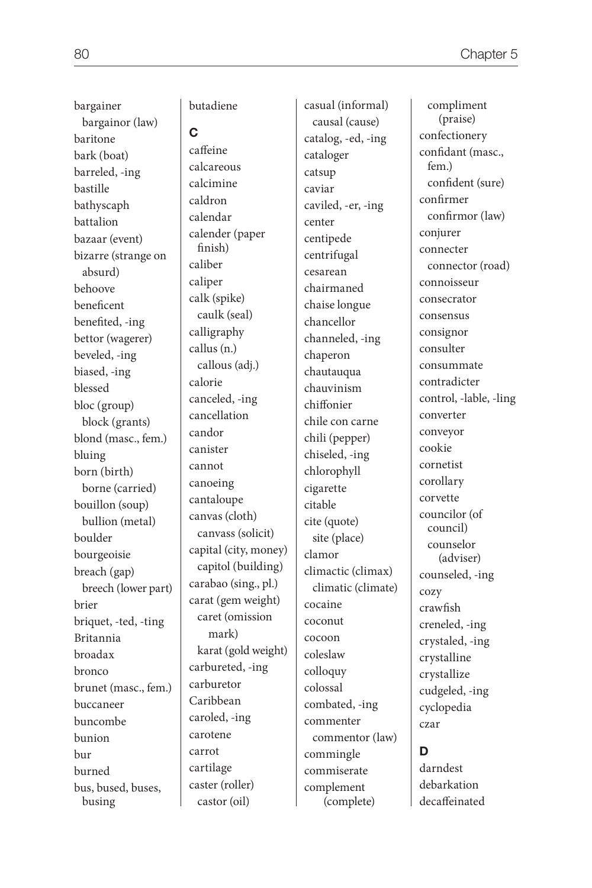bargainer bargainor (law) baritone bark (boat) barreled, -ing bastille bathyscaph battalion bazaar (event) bizarre (strange on absurd) behoove beneficent benefited, -ing bettor (wagerer) beveled, -ing biased, -ing blessed bloc (group) block (grants) blond (masc., fem.) bluing born (birth) borne (carried) bouillon (soup) bullion (metal) boulder bourgeoisie breach (gap) breech (lower part) brier briquet, -ted, -ting Britannia broadax bronco brunet (masc., fem.) buccaneer buncombe bunion bur burned bus, bused, buses, busing

butadiene

#### **C**

caffeine calcareous calcimine caldron calendar calender (paper finish) caliber caliper calk (spike) caulk (seal) calligraphy callus (n.) callous (adj.) calorie canceled, -ing cancellation candor canister cannot canoeing cantaloupe canvas (cloth) canvass (solicit) capital (city, money) capitol (building) carabao (sing., pl.) carat (gem weight) caret (omission mark) karat (gold weight) carbureted, -ing carburetor Caribbean caroled, -ing carotene carrot cartilage caster (roller) castor (oil)

casual (informal) causal (cause) catalog, -ed, -ing cataloger catsup caviar caviled, -er, -ing center centipede centrifugal cesarean chairmaned chaise longue chancellor channeled, -ing chaperon chautauqua chauvinism chiffonier chile con carne chili (pepper) chiseled, -ing chlorophyll cigarette citable cite (quote) site (place) clamor climactic (climax) climatic (climate) cocaine coconut cocoon coleslaw colloquy colossal combated, -ing commenter commentor (law) commingle commiserate complement (complete)

 compliment (praise) confectionery confidant (masc., fem.) confident (sure) confirmer confirmor (law) conjurer connecter connector (road) connoisseur consecrator consensus consignor consulter consummate contradicter control, -lable, -ling converter conveyor cookie cornetist corollary corvette councilor (of council) counselor (adviser) counseled, -ing cozy crawfish creneled, -ing crystaled, -ing crystalline crystallize cudgeled, -ing cyclopedia czar

# **D**

darndest debarkation decaffeinated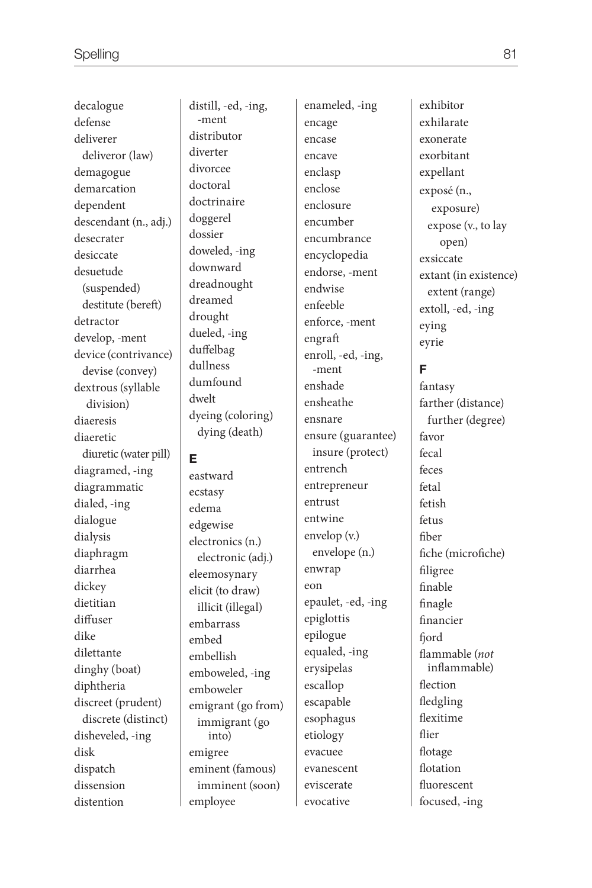decalogue defense deliverer deliveror (law) demagogue demarcation dependent descendant (n., adj.) desecrater desiccate desuetude (suspended) destitute (bereft) detractor develop, -ment device (contrivance) devise (convey) dextrous (syllable division) diaeresis diaeretic diuretic (water pill) diagramed, -ing diagrammatic dialed, -ing dialogue dialysis diaphragm diarrhea dickey dietitian diffuser dike dilettante dinghy (boat) diphtheria discreet (prudent) discrete (distinct) disheveled, -ing disk dispatch dissension distention

distill, -ed, -ing, -ment distributor diverter divorcee doctoral doctrinaire doggerel dossier doweled, -ing downward dreadnought dreamed drought dueled, -ing duffelbag dullness dumfound dwelt dyeing (coloring) dying (death)

#### **E**

eastward ecstasy edema edgewise electronics (n.) electronic (adj.) eleemosynary elicit (to draw) illicit (illegal) embarrass embed embellish emboweled, -ing emboweler emigrant (go from) immigrant (go into) emigree eminent (famous) imminent (soon) employee

enameled, -ing encage encase encave enclasp enclose enclosure encumber encumbrance encyclopedia endorse, -ment endwise enfeeble enforce, -ment engraft enroll, -ed, -ing, -ment enshade ensheathe ensnare ensure (guarantee) insure (protect) entrench entrepreneur entrust entwine envelop (v.) envelope (n.) enwrap eon epaulet, -ed, -ing epiglottis epilogue equaled, -ing erysipelas escallop escapable esophagus etiology evacuee evanescent eviscerate evocative

exhilarate exonerate exorbitant expellant exposé (n., exposure) expose (v., to lay open) exsiccate extant (in existence) extent (range) extoll, -ed, -ing eying eyrie

exhibitor

#### **F**

fantasy farther (distance) further (degree) favor fecal feces fetal fetish fetus fiber fiche (microfiche) filigree finable finagle financier fiord flammable (not inflammable) flection fledgling flexitime flier flotage flotation fluorescent focused, -ing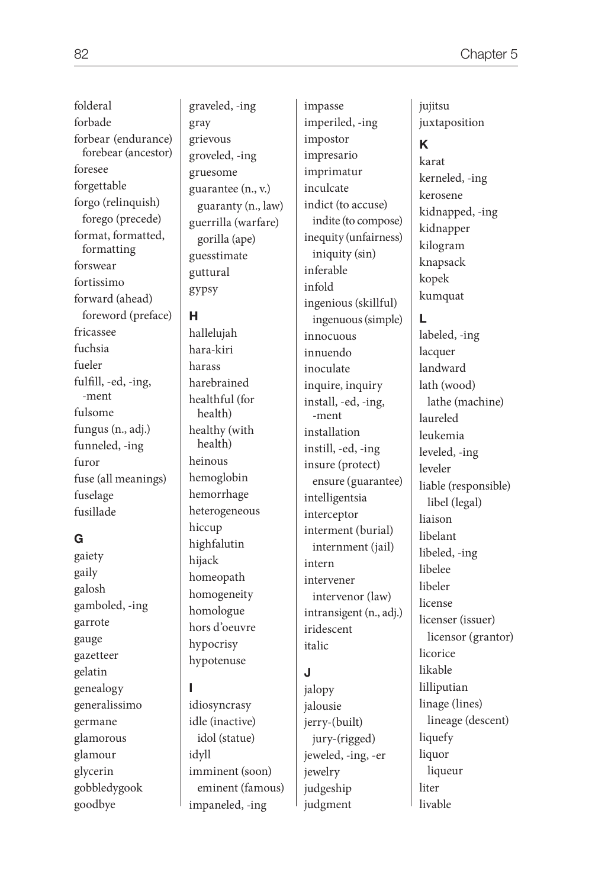folderal forbade forbear (endurance) forebear (ancestor) foresee forgettable forgo (relinquish) forego (precede) format, formatted, formatting forswear fortissimo forward (ahead) foreword (preface) fricassee fuchsia fueler fulfill, -ed, -ing, -ment fulsome fungus (n., adj.) funneled, -ing furor fuse (all meanings) fuselage fusillade

#### **G**

gaiety gaily galosh gamboled, -ing garrote gauge gazetteer gelatin genealogy generalissimo germane glamorous glamour glycerin gobbledygook goodbye

graveled, -ing gray grievous groveled, -ing gruesome guarantee (n., v.) guaranty (n., law) guerrilla (warfare) gorilla (ape) guesstimate guttural gypsy

#### **H**

hallelujah hara-kiri harass harebrained healthful (for health) healthy (with health) heinous hemoglobin hemorrhage heterogeneous hiccup highfalutin hijack homeopath homogeneity homologue hors d'oeuvre hypocrisy hypotenuse

## **I**

idiosyncrasy idle (inactive) idol (statue) idyll imminent (soon) eminent (famous) impaneled, -ing

impasse imperiled, -ing impostor impresario imprimatur inculcate indict (to accuse) indite (to compose) inequity (unfairness) iniquity (sin) inferable infold ingenious (skillful) ingenuous (simple) innocuous innuendo inoculate inquire, inquiry install, -ed, -ing, -ment installation instill, -ed, -ing insure (protect) ensure (guarantee) intelligentsia interceptor interment (burial) internment (jail) intern intervener intervenor (law) intransigent (n., adj.) iridescent italic

#### **J**

jalopy jalousie jerry-(built) jury-(rigged) jeweled, -ing, -er jewelry judgeship judgment

jujitsu juxtaposition

# **K**

karat kerneled, -ing kerosene kidnapped, -ing kidnapper kilogram knapsack kopek kumquat

# **L**

labeled, -ing lacquer landward lath (wood) lathe (machine) laureled leukemia leveled, -ing leveler liable (responsible) libel (legal) liaison libelant libeled, -ing libelee libeler license licenser (issuer) licensor (grantor) licorice likable lilliputian linage (lines) lineage (descent) liquefy liquor liqueur liter livable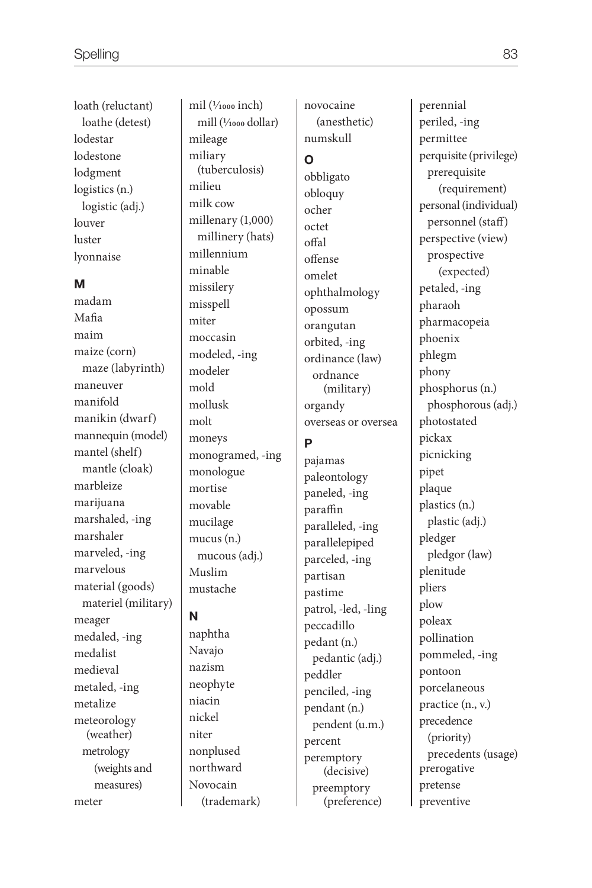loath (reluctant) loathe (detest) lodestar lodestone lodgment logistics (n.) logistic (adj.) louver luster lyonnaise

#### **M**

madam Mafia maim maize (corn) maze (labyrinth) maneuver manifold manikin (dwarf) mannequin (model) mantel (shelf) mantle (cloak) marbleize marijuana marshaled, -ing marshaler marveled, -ing marvelous material (goods) materiel (military) meager medaled, -ing medalist medieval metaled, -ing metalize meteorology (weather) metrology (weights and measures) meter

mil (1/1000 inch) mill (1⁄1000 dollar) mileage miliary (tuberculosis) milieu milk cow millenary (1,000) millinery (hats) millennium minable missilery misspell miter moccasin modeled, -ing modeler mold mollusk molt moneys monogramed, -ing monologue mortise movable mucilage mucus (n.) mucous (adj.) Muslim mustache

#### **N**

naphtha Navajo nazism neophyte niacin nickel niter nonplused northward Novocain (trademark) novocaine (anesthetic) numskull **O** obbligato obloquy ocher octet offal offense omelet

ophthalmology opossum orangutan orbited, -ing ordinance (law) ordnance (military) organdy overseas or oversea

#### **P**

pajamas paleontology paneled, -ing paraffin paralleled, -ing parallelepiped parceled, -ing partisan pastime patrol, -led, -ling peccadillo pedant (n.) pedantic (adj.) peddler penciled, -ing pendant (n.) pendent (u.m.) percent peremptory (decisive) preemptory (preference)

perennial periled, -ing permittee perquisite (privilege) prerequisite (requirement) personal (individual) personnel (staff) perspective (view) prospective (expected) petaled, -ing pharaoh pharmacopeia phoenix phlegm phony phosphorus (n.) phosphorous (adj.) photostated pickax picnicking pipet plaque plastics (n.) plastic (adj.) pledger pledgor (law) plenitude pliers plow poleax pollination pommeled, -ing pontoon porcelaneous practice (n., v.) precedence (priority) precedents (usage) prerogative pretense preventive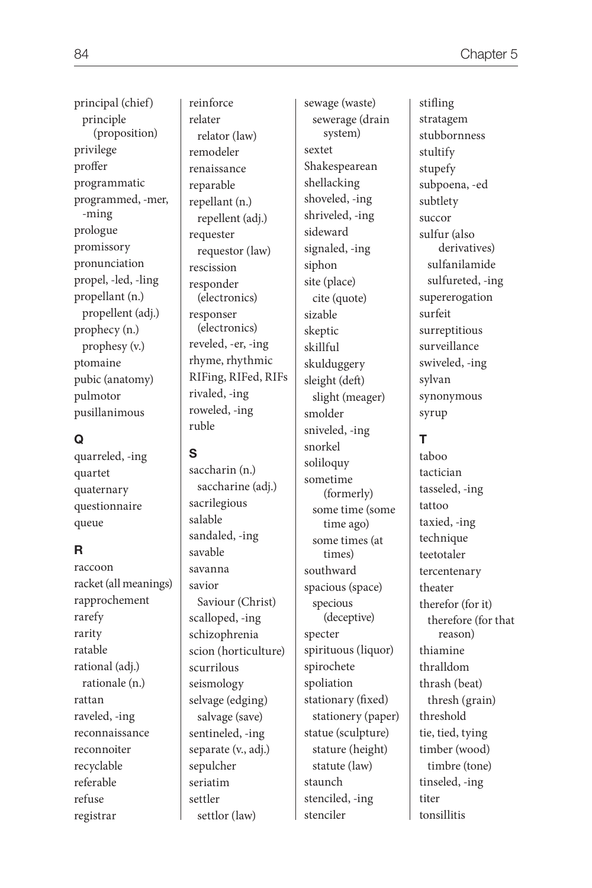principle (proposition) privilege proffer programmatic programmed, -mer, -ming prologue promissory pronunciation propel, -led, -ling propellant (n.) propellent (adj.) prophecy (n.) prophesy (v.) ptomaine pubic (anatomy) pulmotor pusillanimous

principal (chief)

## **Q**

quarreled, -ing quartet quaternary questionnaire queue

# **R**

raccoon racket (all meanings) rapprochement rarefy rarity ratable rational (adj.) rationale (n.) rattan raveled, -ing reconnaissance reconnoiter recyclable referable refuse registrar

relater relator (law) remodeler renaissance reparable repellant (n.) repellent (adj.) requester requestor (law) rescission responder (electronics) responser (electronics) reveled, -er, -ing rhyme, rhythmic RIFing, RIFed, RIFs rivaled, -ing roweled, -ing ruble

## **S**

saccharin (n.) saccharine (adj.) sacrilegious salable sandaled, -ing savable savanna savior Saviour (Christ) scalloped, -ing schizophrenia scion (horticulture) scurrilous seismology selvage (edging) salvage (save) sentineled, -ing separate (v., adj.) sepulcher seriatim settler settlor (law)

sewage (waste) sewerage (drain system) sextet Shakespearean shellacking shoveled, -ing shriveled, -ing sideward signaled, -ing siphon site (place) cite (quote) sizable skeptic skillful skulduggery sleight (deft) slight (meager) smolder sniveled, -ing snorkel soliloquy sometime (formerly) some time (some time ago) some times (at times) southward spacious (space) specious (deceptive) specter spirituous (liquor) spirochete spoliation stationary (fixed) stationery (paper) statue (sculpture) stature (height) statute (law) staunch stenciled, -ing stenciler

stifling stratagem

stubbornness stultify stupefy subpoena, -ed subtlety succor sulfur (also derivatives) sulfanilamide sulfureted, -ing supererogation surfeit surreptitious surveillance swiveled, -ing sylvan synonymous syrup

# **T**

taboo tactician tasseled, -ing tattoo taxied, -ing technique teetotaler tercentenary theater therefor (for it) therefore (for that reason) thiamine thralldom thrash (beat) thresh (grain) threshold tie, tied, tying timber (wood) timbre (tone) tinseled, -ing titer tonsillitis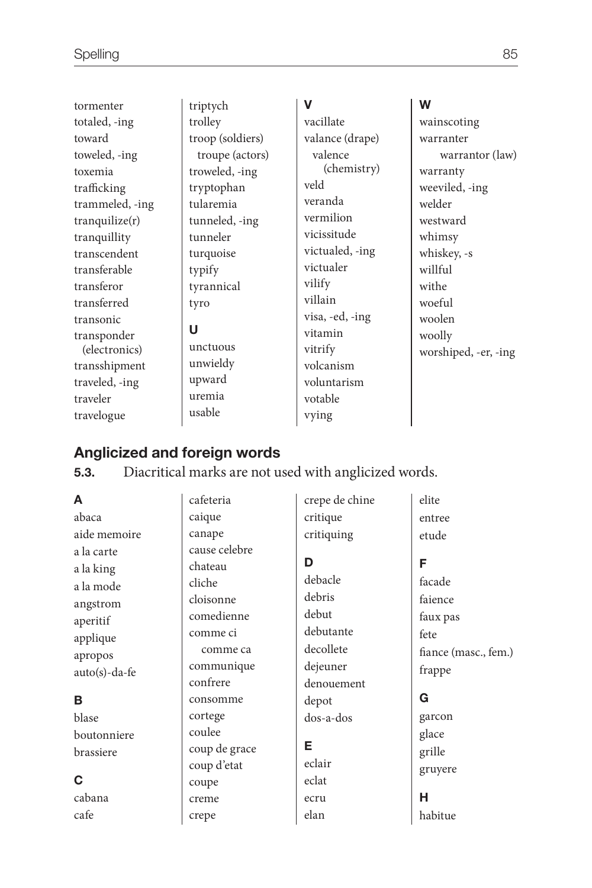| tormenter       | triptych         | v               | W                    |
|-----------------|------------------|-----------------|----------------------|
| totaled, -ing   | trolley          | vacillate       | wainscoting          |
| toward          | troop (soldiers) | valance (drape) | warranter            |
| toweled, -ing   | troupe (actors)  | valence         | warrantor (law)      |
| toxemia         | troweled, -ing   | (chemistry)     | warranty             |
| trafficking     | tryptophan       | veld            | weeviled, -ing       |
| trammeled, -ing | tularemia        | veranda         | welder               |
| tranquilize(r)  | tunneled, -ing   | vermilion       | westward             |
| tranquillity    | tunneler         | vicissitude     | whimsy               |
| transcendent    | turquoise        | victualed, -ing | whiskey, -s          |
| transferable    | typify           | victualer       | willful              |
| transferor      | tyrannical       | vilify          | withe                |
| transferred     | tyro             | villain         | woeful               |
| transonic       |                  | visa, -ed, -ing | woolen               |
| transponder     | U                | vitamin         | woolly               |
| (electronics)   | unctuous         | vitrify         | worshiped, -er, -ing |
| transshipment   | unwieldy         | volcanism       |                      |
| traveled, -ing  | upward           | voluntarism     |                      |
| traveler        | uremia           | votable         |                      |
| travelogue      | usable           | vying           |                      |

# **Anglicized and foreign words**

**5.3.** Diacritical marks are not used with anglicized words.

| A                                                                                   | cafeteria                                                                             | crepe de chine                                            | elite                                                              |
|-------------------------------------------------------------------------------------|---------------------------------------------------------------------------------------|-----------------------------------------------------------|--------------------------------------------------------------------|
| abaca                                                                               | caique                                                                                | critique                                                  | entree                                                             |
| aide memoire                                                                        | canape                                                                                | critiquing                                                | etude                                                              |
| a la carte<br>a la king<br>a la mode<br>angstrom<br>aperitif<br>applique<br>apropos | cause celebre<br>chateau<br>cliche<br>cloisonne<br>comedienne<br>comme ci<br>comme ca | D<br>debacle<br>debris<br>debut<br>debutante<br>decollete | F<br>facade<br>faience<br>faux pas<br>fete<br>fiance (masc., fem.) |
| $auto(s)-da-fe$<br>в                                                                | communique<br>confrere<br>consomme                                                    | dejeuner<br>denouement<br>depot                           | frappe<br>G                                                        |
| blase                                                                               | cortege                                                                               | dos-a-dos                                                 | garcon                                                             |
| boutonniere<br>brassiere                                                            | coulee<br>coup de grace<br>coup d'etat                                                | Е<br>eclair                                               | glace<br>grille<br>gruyere                                         |
| C                                                                                   | coupe                                                                                 | eclat                                                     |                                                                    |
| cabana                                                                              | creme                                                                                 | ecru                                                      | н                                                                  |
| cafe                                                                                | crepe                                                                                 | elan                                                      | habitue                                                            |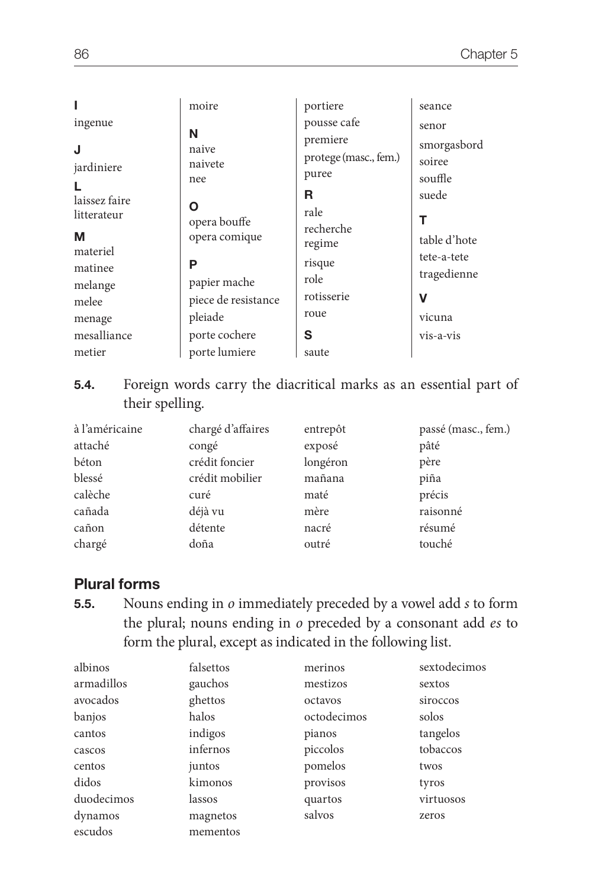| ingenue                      | moire<br>N                     | portiere<br>pousse cafe<br>premiere | seance<br>senor<br>smorgasbord |
|------------------------------|--------------------------------|-------------------------------------|--------------------------------|
| J<br>jardiniere<br>L         | naive<br>naivete<br>nee        | protege (masc., fem.)<br>puree      | soiree<br>souffle              |
| laissez faire<br>litterateur | Ο<br>opera bouffe              | R<br>rale<br>recherche              | suede<br>т                     |
| М<br>materiel                | opera comique                  | regime                              | table d'hote<br>tete-a-tete    |
| matinee<br>melange           | Р<br>papier mache              | risque<br>role                      | tragedienne                    |
| melee<br>menage              | piece de resistance<br>pleiade | rotisserie<br>roue                  | v<br>vicuna                    |
| mesalliance<br>metier        | porte cochere<br>porte lumiere | S<br>saute                          | vis-a-vis                      |

**5.4.** Foreign words carry the diacritical marks as an essential part of their spelling.

| à l'américaine | chargé d'affaires | entrepôt | passé (masc., fem.) |
|----------------|-------------------|----------|---------------------|
| attaché        | congé             | exposé   | pâté                |
| béton          | crédit foncier    | longéron | père                |
| blessé         | crédit mobilier   | mañana   | piña                |
| calèche        | curé              | maté     | précis              |
| cañada         | déjà vu           | mère     | raisonné            |
| cañon          | détente           | nacré    | résumé              |
| chargé         | doña              | outré    | touché              |

# **Plural forms**

**5.5.** Nouns ending in *o* immediately preceded by a vowel add *s* to form the plural; nouns ending in *o* preceded by a consonant add *es* to form the plural, except as indicated in the following list.

| albinos    | falsettos | merinos     | sextodecimos |
|------------|-----------|-------------|--------------|
| armadillos | gauchos   | mestizos    | sextos       |
| avocados   | ghettos   | octavos     | siroccos     |
| banjos     | halos     | octodecimos | solos        |
| cantos     | indigos   | pianos      | tangelos     |
| cascos     | infernos  | piccolos    | tobaccos     |
| centos     | juntos    | pomelos     | twos         |
| didos      | kimonos   | provisos    | tyros        |
| duodecimos | lassos    | quartos     | virtuosos    |
| dynamos    | magnetos  | salvos      | zeros        |
| escudos    | mementos  |             |              |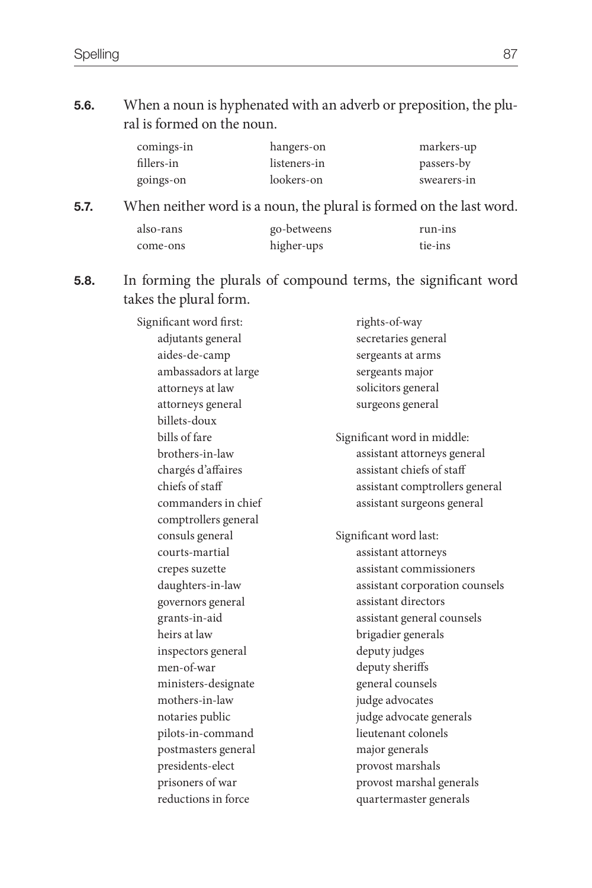**5.6.** When a noun is hyphenated with an adverb or preposition, the plural is formed on the noun.

| comings-in | hangers-on   | markers-up  |
|------------|--------------|-------------|
| fillers-in | listeners-in | passers-by  |
| goings-on  | lookers-on   | swearers-in |

**5.7.** When neither word is a noun, the plural is formed on the last word.

| also-rans | go-betweens | run-ins |
|-----------|-------------|---------|
| come-ons  | higher-ups  | tie-ins |

**5.8.** In forming the plurals of compound terms, the significant word takes the plural form.

> Significant word first: adjutants general aides-de-camp ambassadors at large attorneys at law attorneys general billets-doux bills of fare brothers-in-law chargés d'affaires chiefs of staff commanders in chief comptrollers general consuls general courts-martial crepes suzette daughters-in-law governors general grants-in-aid heirs at law inspectors general men-of-war ministers-designate mothers-in-law notaries public pilots-in-command postmasters general presidents-elect prisoners of war reductions in force rights-of-way secretaries general sergeants at arms sergeants major solicitors general surgeons general Significant word in middle: assistant attorneys general assistant chiefs of staff assistant comptrollers general assistant surgeons general Significant word last: assistant attorneys assistant commissioners assistant corporation counsels assistant directors assistant general counsels brigadier generals deputy judges deputy sheriffs general counsels judge advocates judge advocate generals lieutenant colonels major generals provost marshals provost marshal generals quartermaster generals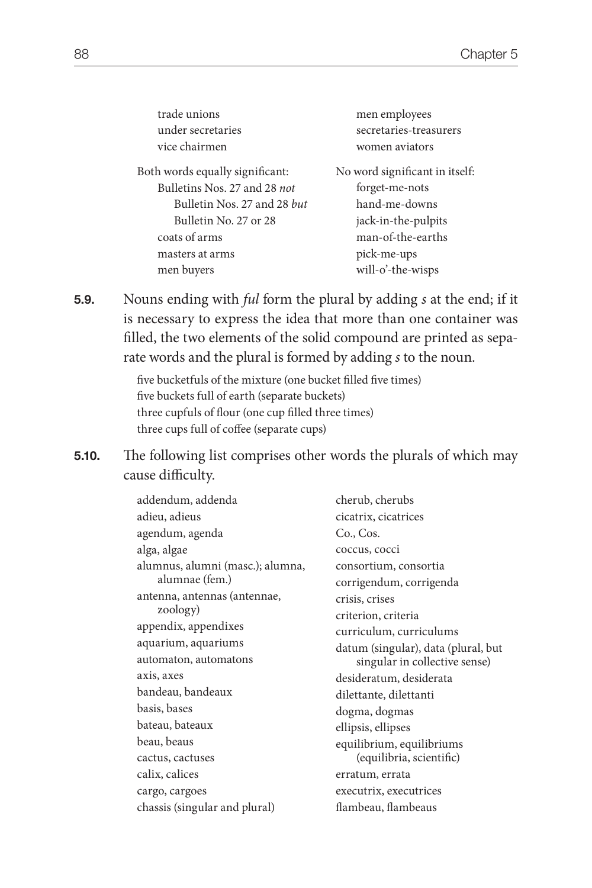| trade unions                    | men employees                  |
|---------------------------------|--------------------------------|
| under secretaries               | secretaries-treasurers         |
| vice chairmen                   | women aviators                 |
| Both words equally significant: | No word significant in itself: |
| Bulletins Nos. 27 and 28 not    | forget-me-nots                 |
| Bulletin Nos. 27 and 28 but     | hand-me-downs                  |
| Bulletin No. 27 or 28           | jack-in-the-pulpits            |
| coats of arms                   | man-of-the-earths              |
| masters at arms                 | pick-me-ups                    |
| men buyers                      | will-o'-the-wisps              |
|                                 |                                |

**5.9.** Nouns ending with *ful* form the plural by adding *s* at the end; if it is necessary to express the idea that more than one container was filled, the two elements of the solid compound are printed as separate words and the plural is formed by adding *s* to the noun.

> five bucketfuls of the mixture (one bucket filled five times) five buckets full of earth (separate buckets) three cupfuls of flour (one cup filled three times) three cups full of coffee (separate cups)

**5.10.** The following list comprises other words the plurals of which may cause difficulty.

| addendum, addenda                | cherub, cherubs                     |
|----------------------------------|-------------------------------------|
| adieu, adieus                    | cicatrix, cicatrices                |
| agendum, agenda                  | Co., Cos.                           |
| alga, algae                      | coccus, cocci                       |
| alumnus, alumni (masc.); alumna, | consortium, consortia               |
| alumnae (fem.)                   | corrigendum, corrigenda             |
| antenna, antennas (antennae,     | crisis, crises                      |
| zoology)                         | criterion, criteria                 |
| appendix, appendixes             | curriculum, curriculums             |
| aquarium, aquariums              | datum (singular), data (plural, but |
| automaton, automatons            | singular in collective sense)       |
| axis, axes                       | desideratum, desiderata             |
| bandeau, bandeaux                | dilettante, dilettanti              |
| basis, bases                     | dogma, dogmas                       |
| bateau, bateaux                  | ellipsis, ellipses                  |
| beau, beaus                      | equilibrium, equilibriums           |
| cactus, cactuses                 | (equilibria, scientific)            |
| calix, calices                   | erratum, errata                     |
| cargo, cargoes                   | executrix, executrices              |
| chassis (singular and plural)    | flambeau, flambeaus                 |
|                                  |                                     |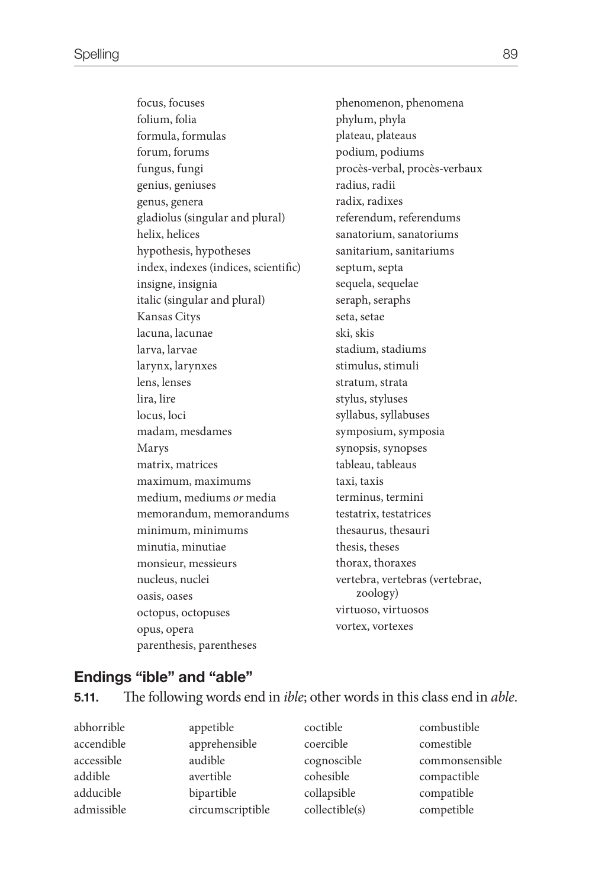focus, focuses folium, folia formula, formulas forum, forums fungus, fungi genius, geniuses genus, genera gladiolus (singular and plural) helix, helices hypothesis, hypotheses index, indexes (indices, scientific) insigne, insignia italic (singular and plural) Kansas Citys lacuna, lacunae larva, larvae larynx, larynxes lens, lenses lira, lire locus, loci madam, mesdames Marys matrix, matrices maximum, maximums medium, mediums *or* media memorandum, memorandums minimum, minimums minutia, minutiae monsieur, messieurs nucleus, nuclei oasis, oases octopus, octopuses opus, opera parenthesis, parentheses

phenomenon, phenomena phylum, phyla plateau, plateaus podium, podiums procès-verbal, procès-verbaux radius, radii radix, radixes referendum, referendums sanatorium, sanatoriums sanitarium, sanitariums septum, septa sequela, sequelae seraph, seraphs seta, setae ski, skis stadium, stadiums stimulus, stimuli stratum, strata stylus, styluses syllabus, syllabuses symposium, symposia synopsis, synopses tableau, tableaus taxi, taxis terminus, termini testatrix, testatrices thesaurus, thesauri thesis, theses thorax, thoraxes vertebra, vertebras (vertebrae, zoology) virtuoso, virtuosos vortex, vortexes

#### **Endings "ible" and "able"**

#### **5.11.** The following words end in *ible*; other words in this class end in *able*.

| abhorrible | appetible        | coctible       | combustible    |
|------------|------------------|----------------|----------------|
| accendible | apprehensible    | coercible      | comestible     |
| accessible | audible          | cognoscible    | commonsensible |
| addible    | avertible        | cohesible      | compactible    |
| adducible  | bipartible       | collapsible    | compatible     |
| admissible | circumscriptible | collectible(s) | competible     |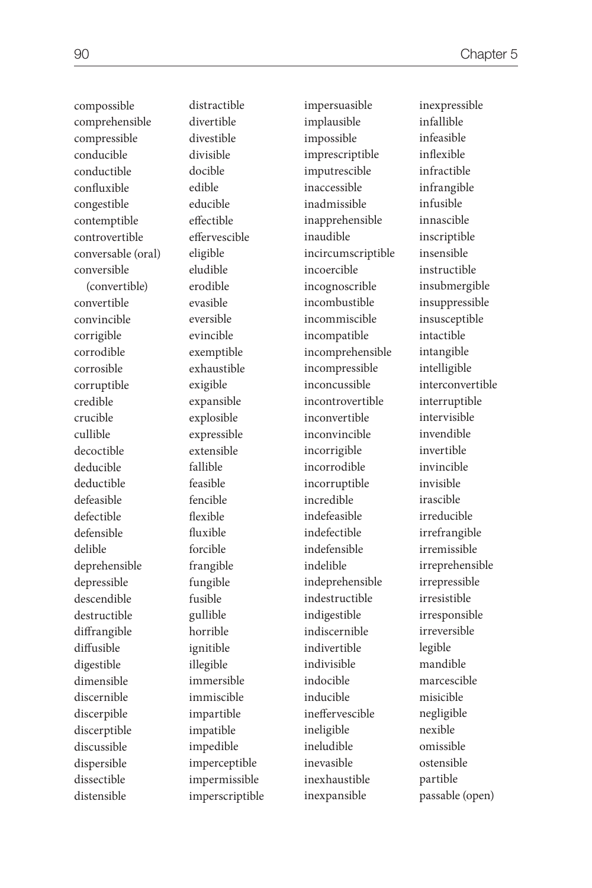compossible comprehensible compressible conducible conductible confluxible congestible contemptible controvertible conversable (oral) conversible (convertible) convertible convincible corrigible corrodible corrosible corruptible credible crucible cullible decoctible deducible deductible defeasible defectible defensible delible deprehensible depressible descendible destructible diffrangible diffusible digestible dimensible discernible discerpible discerptible discussible dispersible dissectible distensible distractible divertible divestible divisible docible edible educible effectible effervescible eligible eludible erodible evasible eversible evincible exemptible exhaustible exigible expansible explosible expressible extensible fallible feasible fencible flexible fluxible forcible frangible fungible fusible gullible horrible ignitible illegible immersible immiscible impartible impatible impedible imperceptible impermissible imperscriptible

impersuasible implausible impossible imprescriptible imputrescible inaccessible inadmissible inapprehensible inaudible incircumscriptible incoercible incognoscrible incombustible incommiscible incompatible incomprehensible incompressible inconcussible incontrovertible inconvertible inconvincible incorrigible incorrodible incorruptible incredible indefeasible indefectible indefensible indelible indeprehensible indestructible indigestible indiscernible indivertible indivisible indocible inducible ineffervescible ineligible ineludible inevasible inexhaustible inexpansible

inexpressible infallible infeasible inflexible infractible infrangible infusible innascible inscriptible insensible instructible insubmergible insuppressible insusceptible intactible intangible intelligible interconvertible interruptible intervisible invendible invertible invincible invisible irascible irreducible irrefrangible irremissible irreprehensible irrepressible irresistible irresponsible irreversible legible mandible marcescible misicible negligible nexible omissible ostensible partible passable (open)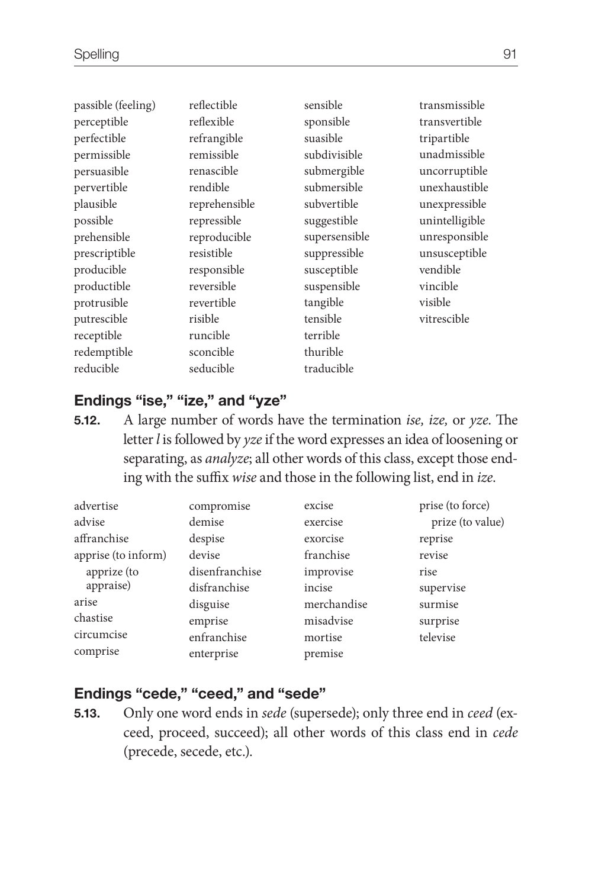| passible (feeling) | reflectible   | sensible      | transmissible  |
|--------------------|---------------|---------------|----------------|
| perceptible        | reflexible    | sponsible     | transvertible  |
| perfectible        | refrangible   | suasible      | tripartible    |
| permissible        | remissible    | subdivisible  | unadmissible   |
| persuasible        | renascible    | submergible   | uncorruptible  |
| pervertible        | rendible      | submersible   | unexhaustible  |
| plausible          | reprehensible | subvertible   | unexpressible  |
| possible           | repressible   | suggestible   | unintelligible |
| prehensible        | reproducible  | supersensible | unresponsible  |
| prescriptible      | resistible    | suppressible  | unsusceptible  |
| producible         | responsible   | susceptible   | vendible       |
| productible        | reversible    | suspensible   | vincible       |
| protrusible        | revertible    | tangible      | visible        |
| putrescible        | risible       | tensible      | vitrescible    |
| receptible         | runcible      | terrible      |                |
| redemptible        | sconcible     | thurible      |                |
| reducible          | seducible     | traducible    |                |

## **Endings "ise," "ize," and "yze"**

**5.12.** A large number of words have the termination *ise, ize,* or *yze*. The letter *l* is followed by *yze* if the word expresses an idea of loosening or separating, as *analyze*; all other words of this class, except those ending with the suffix *wise* and those in the following list, end in *ize*.

| advertise           | compromise     | excise      | prise (to force) |
|---------------------|----------------|-------------|------------------|
| advise              | demise         | exercise    | prize (to value) |
| affranchise         | despise        | exorcise    | reprise          |
| apprise (to inform) | devise         | franchise   | revise           |
| apprize (to         | disenfranchise | improvise   | rise             |
| appraise)           | disfranchise   | incise      | supervise        |
| arise               | disguise       | merchandise | surmise          |
| chastise            | emprise        | misadvise   | surprise         |
| circumcise          | enfranchise    | mortise     | televise         |
| comprise            | enterprise     | premise     |                  |

## **Endings "cede," "ceed," and "sede"**

**5.13.** Only one word ends in *sede* (supersede); only three end in *ceed* (exceed, proceed, succeed); all other words of this class end in *cede* (precede, secede, etc.).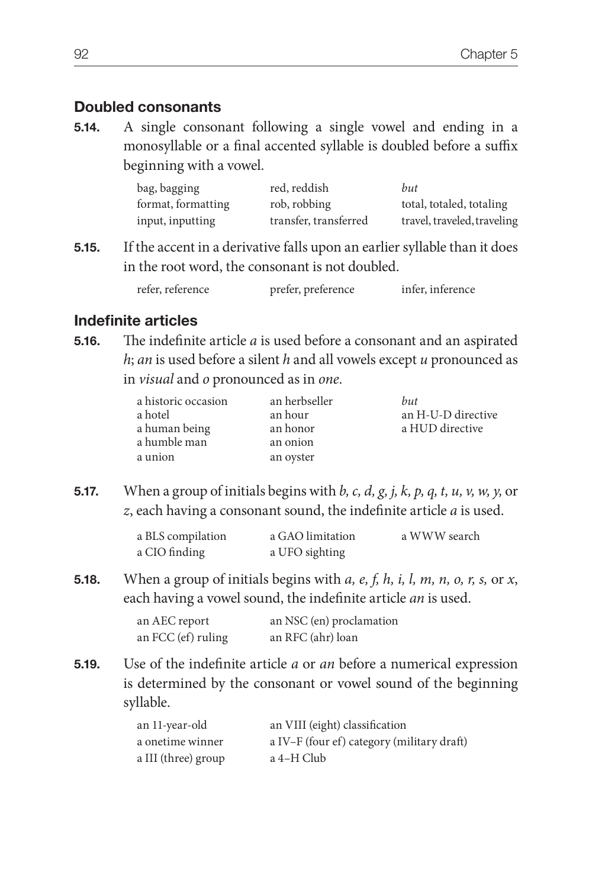## **Doubled consonants**

**5.14.** A single consonant following a single vowel and ending in a monosyllable or a final accented syllable is doubled before a suffix beginning with a vowel.

| bag, bagging       | red, reddish          | but                         |
|--------------------|-----------------------|-----------------------------|
| format, formatting | rob, robbing          | total, totaled, totaling    |
| input, inputting   | transfer, transferred | travel, traveled, traveling |

**5.15.** If the accent in a derivative falls upon an earlier syllable than it does in the root word, the consonant is not doubled.

| refer, reference | prefer, preference | infer, inference |
|------------------|--------------------|------------------|
|                  |                    |                  |

## **Indefinite articles**

**5.16.** The indefinite article *a* is used before a consonant and an aspirated *h*; *an* is used before a silent *h* and all vowels except *u* pronounced as in *visual* and *o* pronounced as in *one*.

| a historic occasion | an herbseller | but                |
|---------------------|---------------|--------------------|
| a hotel             | an hour       | an H-U-D directive |
| a human being       | an honor      | a HUD directive    |
| a humble man        | an onion      |                    |
| a union             | an oyster     |                    |

**5.17.** When a group of initials begins with *b, c, d, g, j, k, p, q, t, u, v, w, y,* or *z*, each having a consonant sound, the indefinite article *a* is used.

| a BLS compilation | a GAO limitation | a WWW search |
|-------------------|------------------|--------------|
| a CIO finding     | a UFO sighting   |              |

**5.18.** When a group of initials begins with *a, e, f, h, i, l, m, n, o, r, s,* or *x*, each having a vowel sound, the indefinite article *an* is used.

| an AEC report      | an NSC (en) proclamation |
|--------------------|--------------------------|
| an FCC (ef) ruling | an RFC (ahr) loan        |

**5.19.** Use of the indefinite article *a* or *an* before a numerical expression is determined by the consonant or vowel sound of the beginning syllable.

| an 11-year-old      | an VIII (eight) classification             |
|---------------------|--------------------------------------------|
| a onetime winner    | a IV-F (four ef) category (military draft) |
| a III (three) group | a 4–H Club                                 |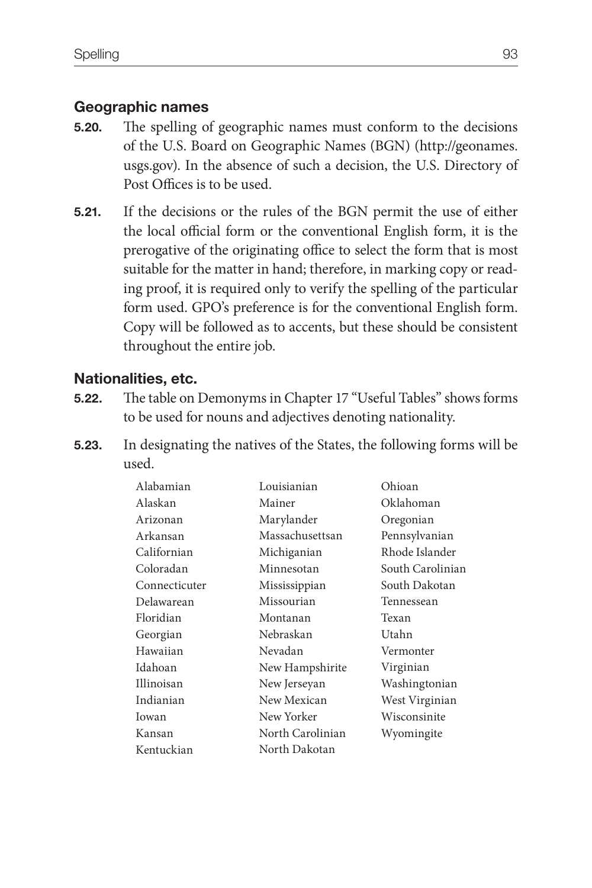# **Geographic names**

- **5.20.** The spelling of geographic names must conform to the decisions of the U.S. Board on Geographic Names (BGN) (http://geonames. usgs.gov). In the absence of such a decision, the U.S. Directory of Post Offices is to be used.
- **5.21.** If the decisions or the rules of the BGN permit the use of either the local official form or the conventional English form, it is the prerogative of the originating office to select the form that is most suitable for the matter in hand; therefore, in marking copy or reading proof, it is required only to verify the spelling of the particular form used. GPO's preference is for the conventional English form. Copy will be followed as to accents, but these should be consistent throughout the entire job.

# **Nationalities, etc.**

- **5.22.** The table on Demonyms in Chapter 17 "Useful Tables" shows forms to be used for nouns and adjectives denoting nationality.
- **5.23.** In designating the natives of the States, the following forms will be used.

| Alabamian     | Louisianian      | Ohioan           |
|---------------|------------------|------------------|
| Alaskan       | Mainer           | Oklahoman        |
| Arizonan      | Marylander       | Oregonian        |
| Arkansan      | Massachusettsan  | Pennsylvanian    |
| Californian   | Michiganian      | Rhode Islander   |
| Coloradan     | Minnesotan       | South Carolinian |
| Connecticuter | Mississippian    | South Dakotan    |
| Delawarean    | Missourian       | Tennessean       |
| Floridian     | Montanan         | Texan            |
| Georgian      | Nebraskan        | Utahn            |
| Hawaiian      | Nevadan          | Vermonter        |
| Idahoan       | New Hampshirite  | Virginian        |
| Illinoisan    | New Jerseyan     | Washingtonian    |
| Indianian     | New Mexican      | West Virginian   |
| Iowan         | New Yorker       | Wisconsinite     |
| Kansan        | North Carolinian | Wyomingite       |
| Kentuckian    | North Dakotan    |                  |
|               |                  |                  |